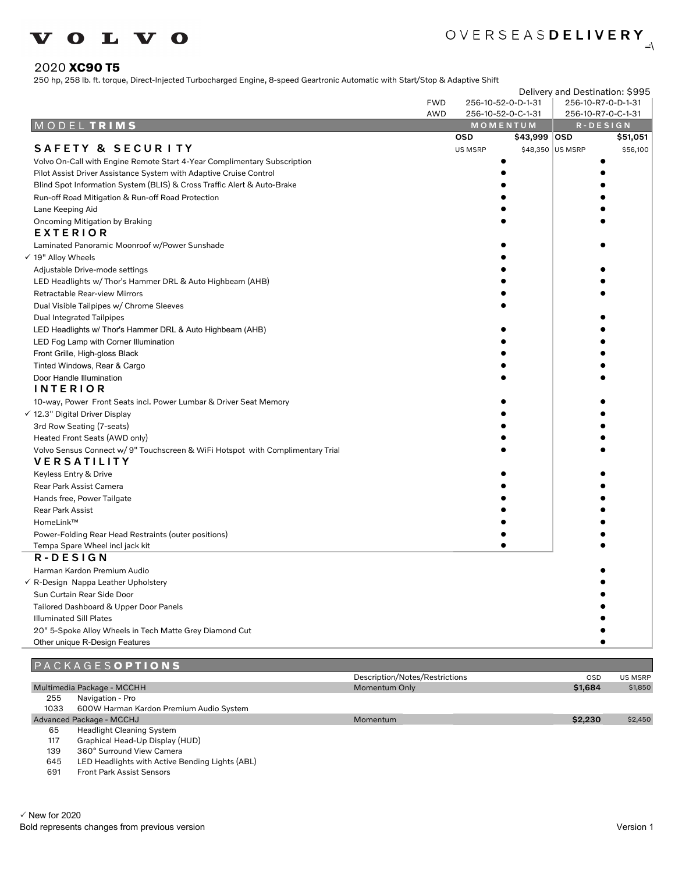

#### 2020 **XC90 T5**

250 hp, 258 lb. ft. torque, Direct-Injected Turbocharged Engine, 8-speed Geartronic Automatic with Start/Stop & Adaptive Shift

|                                                                                |            |            |                                | Delivery and Destination: \$995 |                                         |  |
|--------------------------------------------------------------------------------|------------|------------|--------------------------------|---------------------------------|-----------------------------------------|--|
|                                                                                | <b>FWD</b> |            | 256-10-52-0-D-1-31             |                                 | 256-10-R7-0-D-1-31                      |  |
|                                                                                | AWD        |            | 256-10-52-0-C-1-31<br>MOMENTUM |                                 | 256-10-R7-0-C-1-31<br>$R - D E S I G N$ |  |
| MODELTRIMS                                                                     |            | <b>OSD</b> | \$43,999 OSD                   |                                 | \$51,051                                |  |
| <b>SAFETY &amp; SECURITY</b>                                                   |            | US MSRP    |                                | \$48,350 US MSRP                | \$56,100                                |  |
| Volvo On-Call with Engine Remote Start 4-Year Complimentary Subscription       |            |            |                                |                                 |                                         |  |
| Pilot Assist Driver Assistance System with Adaptive Cruise Control             |            |            |                                |                                 |                                         |  |
| Blind Spot Information System (BLIS) & Cross Traffic Alert & Auto-Brake        |            |            |                                |                                 |                                         |  |
| Run-off Road Mitigation & Run-off Road Protection                              |            |            |                                |                                 |                                         |  |
| Lane Keeping Aid                                                               |            |            |                                |                                 |                                         |  |
| Oncoming Mitigation by Braking                                                 |            |            |                                |                                 |                                         |  |
| EXTERIOR                                                                       |            |            |                                |                                 |                                         |  |
| Laminated Panoramic Moonroof w/Power Sunshade                                  |            |            |                                |                                 |                                         |  |
| √ 19" Alloy Wheels                                                             |            |            |                                |                                 |                                         |  |
| Adjustable Drive-mode settings                                                 |            |            |                                |                                 |                                         |  |
| LED Headlights w/ Thor's Hammer DRL & Auto Highbeam (AHB)                      |            |            |                                |                                 |                                         |  |
| Retractable Rear-view Mirrors                                                  |            |            |                                |                                 |                                         |  |
| Dual Visible Tailpipes w/ Chrome Sleeves                                       |            |            |                                |                                 |                                         |  |
| <b>Dual Integrated Tailpipes</b>                                               |            |            |                                |                                 |                                         |  |
| LED Headlights w/ Thor's Hammer DRL & Auto Highbeam (AHB)                      |            |            |                                |                                 |                                         |  |
| LED Fog Lamp with Corner Illumination                                          |            |            |                                |                                 |                                         |  |
| Front Grille, High-gloss Black                                                 |            |            |                                |                                 |                                         |  |
| Tinted Windows, Rear & Cargo                                                   |            |            |                                |                                 |                                         |  |
| Door Handle Illumination<br><b>INTERIOR</b>                                    |            |            |                                |                                 |                                         |  |
| 10-way, Power Front Seats incl. Power Lumbar & Driver Seat Memory              |            |            |                                |                                 |                                         |  |
| √ 12.3" Digital Driver Display                                                 |            |            |                                |                                 |                                         |  |
| 3rd Row Seating (7-seats)                                                      |            |            |                                |                                 |                                         |  |
| Heated Front Seats (AWD only)                                                  |            |            |                                |                                 |                                         |  |
| Volvo Sensus Connect w/ 9" Touchscreen & WiFi Hotspot with Complimentary Trial |            |            |                                |                                 |                                         |  |
| <b>VERSATILITY</b>                                                             |            |            |                                |                                 |                                         |  |
| Keyless Entry & Drive                                                          |            |            |                                |                                 |                                         |  |
| Rear Park Assist Camera                                                        |            |            |                                |                                 |                                         |  |
| Hands free, Power Tailgate                                                     |            |            |                                |                                 |                                         |  |
| Rear Park Assist                                                               |            |            |                                |                                 |                                         |  |
| HomeLink™                                                                      |            |            |                                |                                 |                                         |  |
| Power-Folding Rear Head Restraints (outer positions)                           |            |            |                                |                                 |                                         |  |
| Tempa Spare Wheel incl jack kit                                                |            |            |                                |                                 |                                         |  |
| R-DESIGN                                                                       |            |            |                                |                                 |                                         |  |
| Harman Kardon Premium Audio                                                    |            |            |                                |                                 |                                         |  |
| √ R-Design Nappa Leather Upholstery                                            |            |            |                                |                                 |                                         |  |
| Sun Curtain Rear Side Door                                                     |            |            |                                |                                 |                                         |  |
| Tailored Dashboard & Upper Door Panels                                         |            |            |                                |                                 |                                         |  |
| <b>Illuminated Sill Plates</b>                                                 |            |            |                                |                                 |                                         |  |
| 20" 5-Spoke Alloy Wheels in Tech Matte Grey Diamond Cut                        |            |            |                                |                                 |                                         |  |
| Other unique R-Design Features                                                 |            |            |                                |                                 |                                         |  |
| <b>DAOVAOCOARTIANA</b>                                                         |            |            |                                |                                 |                                         |  |

|      | <b>FAUNAULSUPIIUNS</b>                          |                                |            |         |
|------|-------------------------------------------------|--------------------------------|------------|---------|
|      |                                                 | Description/Notes/Restrictions | <b>OSD</b> | US MSRP |
|      | Multimedia Package - MCCHH                      | Momentum Only                  | \$1,684    | \$1,850 |
| 255  | Navigation - Pro                                |                                |            |         |
| 1033 | 600W Harman Kardon Premium Audio System         |                                |            |         |
|      | Advanced Package - MCCHJ                        | Momentum                       | \$2,230    | \$2,450 |
| 65   | <b>Headlight Cleaning System</b>                |                                |            |         |
| 117  | Graphical Head-Up Display (HUD)                 |                                |            |         |
| 139  | 360° Surround View Camera                       |                                |            |         |
| 645  | LED Headlights with Active Bending Lights (ABL) |                                |            |         |

691 Front Park Assist Sensors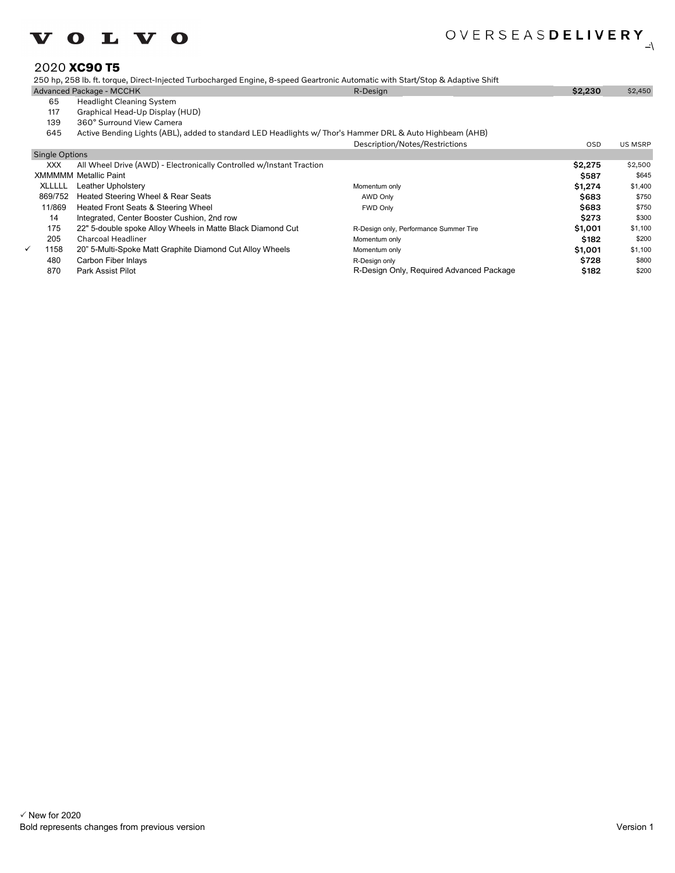

#### 2020 **XC90 T5**

250 hp, 258 lb. ft. torque, Direct-Injected Turbocharged Engine, 8-speed Geartronic Automatic with Start/Stop & Adaptive Shift

|                       | Advanced Package - MCCHK                                                                                 | R-Design                               | \$2,230    | \$2,450        |
|-----------------------|----------------------------------------------------------------------------------------------------------|----------------------------------------|------------|----------------|
| 65                    | <b>Headlight Cleaning System</b>                                                                         |                                        |            |                |
| 117                   | Graphical Head-Up Display (HUD)                                                                          |                                        |            |                |
| 139                   | 360° Surround View Camera                                                                                |                                        |            |                |
| 645                   | Active Bending Lights (ABL), added to standard LED Headlights w/ Thor's Hammer DRL & Auto Highbeam (AHB) |                                        |            |                |
|                       |                                                                                                          | Description/Notes/Restrictions         | <b>OSD</b> | <b>US MSRP</b> |
| <b>Single Options</b> |                                                                                                          |                                        |            |                |
| XXX.                  | All Wheel Drive (AWD) - Electronically Controlled w/Instant Traction                                     |                                        | \$2,275    | \$2,500        |
|                       | <b>XMMMMM Metallic Paint</b>                                                                             |                                        | \$587      | \$645          |
| XLLLLL                | Leather Upholstery                                                                                       | Momentum only                          | \$1,274    | \$1,400        |
| 869/752               | Heated Steering Wheel & Rear Seats                                                                       | <b>AWD Only</b>                        | \$683      | \$750          |
| 11/869                | Heated Front Seats & Steering Wheel                                                                      | <b>FWD Only</b>                        | \$683      | \$750          |
| 14                    | Integrated, Center Booster Cushion, 2nd row                                                              |                                        | \$273      | \$300          |
| 175                   | 22" 5-double spoke Alloy Wheels in Matte Black Diamond Cut                                               | R-Design only, Performance Summer Tire | \$1,001    | \$1,100        |
| 205                   | <b>Charcoal Headliner</b>                                                                                | Momentum only                          | \$182      | \$200          |

205 Charcoal Headliner **Momentum only Momentum only Momentum only** State of the State S200

- 1158 20" 5-Multi-Spoke Matt Graphite Diamond Cut Alloy Wheels Momentum only and the state of the state of the state of the state of the state of the state of the state of the state of the state of the state of the state of Acarbon Fiber Inlays ST28
- 870 Park Assist Pilot **Reading Concrete Advanced Advanced Package** \$182 \$200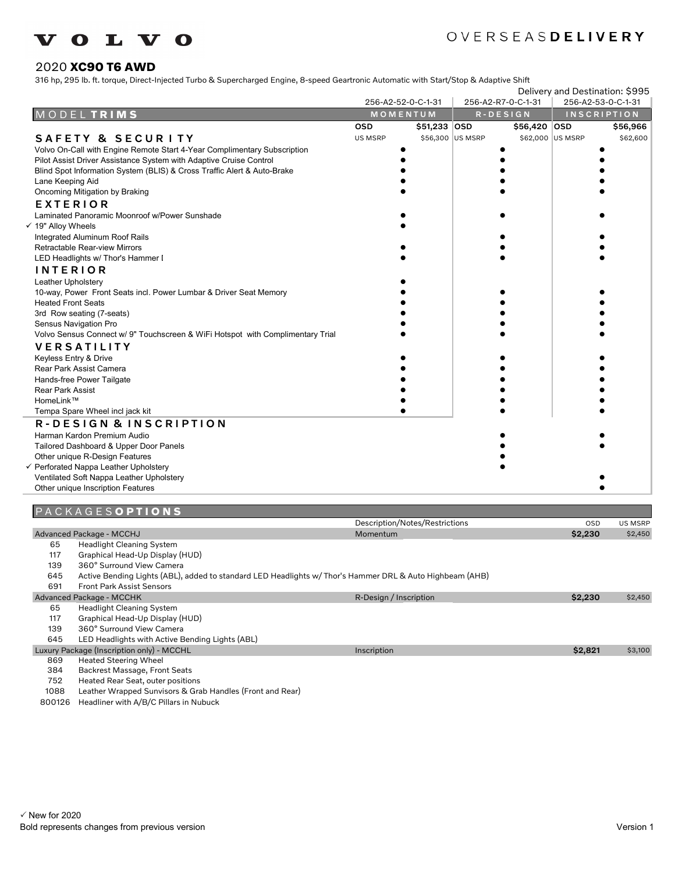

#### 2020 **XC90 T6 AWD**

316 hp, 295 lb. ft. torque, Direct-Injected Turbo & Supercharged Engine, 8-speed Geartronic Automatic with Start/Stop & Adaptive Shift

|  |                                                                                | Delivery and Destination: \$995 |              |                  |                    |                    |                    |  |
|--|--------------------------------------------------------------------------------|---------------------------------|--------------|------------------|--------------------|--------------------|--------------------|--|
|  |                                                                                | 256-A2-52-0-C-1-31              |              |                  | 256-A2-R7-0-C-1-31 | 256-A2-53-0-C-1-31 |                    |  |
|  | MODELTRIMS                                                                     | MOMENTUM                        |              |                  | $R - D E S I G N$  |                    | <b>INSCRIPTION</b> |  |
|  |                                                                                | <b>OSD</b>                      | \$51,233 OSD |                  | \$56,420 OSD       |                    | \$56,966           |  |
|  | SAFETY & SECURITY                                                              | US MSRP                         |              | \$56,300 US MSRP |                    | \$62,000 US MSRP   | \$62,600           |  |
|  | Volvo On-Call with Engine Remote Start 4-Year Complimentary Subscription       |                                 |              |                  |                    |                    |                    |  |
|  | Pilot Assist Driver Assistance System with Adaptive Cruise Control             |                                 |              |                  |                    |                    |                    |  |
|  | Blind Spot Information System (BLIS) & Cross Traffic Alert & Auto-Brake        |                                 |              |                  |                    |                    |                    |  |
|  | Lane Keeping Aid                                                               |                                 |              |                  |                    |                    |                    |  |
|  | Oncoming Mitigation by Braking                                                 |                                 |              |                  |                    |                    |                    |  |
|  | <b>EXTERIOR</b>                                                                |                                 |              |                  |                    |                    |                    |  |
|  | Laminated Panoramic Moonroof w/Power Sunshade                                  |                                 |              |                  |                    |                    |                    |  |
|  | $\checkmark$ 19" Alloy Wheels                                                  |                                 |              |                  |                    |                    |                    |  |
|  | Integrated Aluminum Roof Rails                                                 |                                 |              |                  |                    |                    |                    |  |
|  | Retractable Rear-view Mirrors                                                  |                                 |              |                  |                    |                    |                    |  |
|  | LED Headlights w/ Thor's Hammer I                                              |                                 |              |                  |                    |                    |                    |  |
|  | <b>INTERIOR</b>                                                                |                                 |              |                  |                    |                    |                    |  |
|  | Leather Upholstery                                                             |                                 |              |                  |                    |                    |                    |  |
|  | 10-way, Power Front Seats incl. Power Lumbar & Driver Seat Memory              |                                 |              |                  |                    |                    |                    |  |
|  | <b>Heated Front Seats</b>                                                      |                                 |              |                  |                    |                    |                    |  |
|  | 3rd Row seating (7-seats)                                                      |                                 |              |                  |                    |                    |                    |  |
|  | Sensus Navigation Pro                                                          |                                 |              |                  |                    |                    |                    |  |
|  | Volvo Sensus Connect w/ 9" Touchscreen & WiFi Hotspot with Complimentary Trial |                                 |              |                  |                    |                    |                    |  |
|  | <b>VERSATILITY</b>                                                             |                                 |              |                  |                    |                    |                    |  |
|  | Keyless Entry & Drive                                                          |                                 |              |                  |                    |                    |                    |  |
|  | Rear Park Assist Camera                                                        |                                 |              |                  |                    |                    |                    |  |
|  | Hands-free Power Tailgate                                                      |                                 |              |                  |                    |                    |                    |  |
|  | <b>Rear Park Assist</b>                                                        |                                 |              |                  |                    |                    |                    |  |
|  | HomeLink™                                                                      |                                 |              |                  |                    |                    |                    |  |
|  | Tempa Spare Wheel incl jack kit                                                |                                 |              |                  |                    |                    |                    |  |
|  | R-DESIGN & INSCRIPTION                                                         |                                 |              |                  |                    |                    |                    |  |
|  | Harman Kardon Premium Audio                                                    |                                 |              |                  |                    |                    |                    |  |
|  | Tailored Dashboard & Upper Door Panels                                         |                                 |              |                  |                    |                    |                    |  |
|  | Other unique R-Design Features                                                 |                                 |              |                  |                    |                    |                    |  |
|  | √ Perforated Nappa Leather Upholstery                                          |                                 |              |                  |                    |                    |                    |  |
|  | Ventilated Soft Nappa Leather Upholstery                                       |                                 |              |                  |                    |                    |                    |  |
|  | Other unique Inscription Features                                              |                                 |              |                  |                    |                    |                    |  |
|  |                                                                                |                                 |              |                  |                    |                    |                    |  |

## P A C K A G E S **O P T I O N S**

|     |                                                                                                          | Description/Notes/Restrictions | <b>OSD</b> | US MSRP |
|-----|----------------------------------------------------------------------------------------------------------|--------------------------------|------------|---------|
|     | Advanced Package - MCCHJ                                                                                 | Momentum                       | \$2,230    | \$2,450 |
| 65  | <b>Headlight Cleaning System</b>                                                                         |                                |            |         |
| 117 | Graphical Head-Up Display (HUD)                                                                          |                                |            |         |
| 139 | 360° Surround View Camera                                                                                |                                |            |         |
| 645 | Active Bending Lights (ABL), added to standard LED Headlights w/ Thor's Hammer DRL & Auto Highbeam (AHB) |                                |            |         |
| 691 | <b>Front Park Assist Sensors</b>                                                                         |                                |            |         |
|     | Advanced Package - MCCHK                                                                                 | R-Design / Inscription         | \$2,230    | \$2,450 |
| 65  | <b>Headlight Cleaning System</b>                                                                         |                                |            |         |
| 117 | Graphical Head-Up Display (HUD)                                                                          |                                |            |         |
| 139 | 360° Surround View Camera                                                                                |                                |            |         |
| 645 | LED Headlights with Active Bending Lights (ABL)                                                          |                                |            |         |
|     | Luxury Package (Inscription only) - MCCHL                                                                | Inscription                    | \$2,821    | \$3,100 |
| 869 | <b>Heated Steering Wheel</b>                                                                             |                                |            |         |
| 384 | Backrest Massage, Front Seats                                                                            |                                |            |         |
|     |                                                                                                          |                                |            |         |

752 Heated Rear Seat, outer positions

1088 Leather Wrapped Sunvisors & Grab Handles (Front and Rear)

800126 Headliner with A/B/C Pillars in Nubuck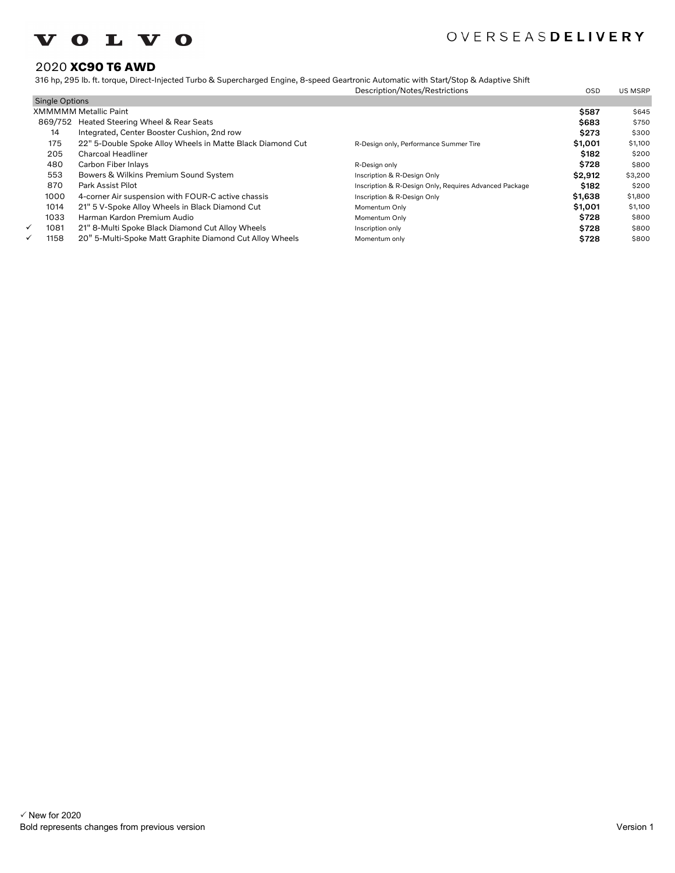

## 2020 **XC90 T6 AWD**

316 hp, 295 lb. ft. torque, Direct-Injected Turbo & Supercharged Engine, 8-speed Geartronic Automatic with Start/Stop & Adaptive Shift

|                       |                                                            | Description/Notes/Restrictions                         | <b>OSD</b> | <b>US MSRP</b> |
|-----------------------|------------------------------------------------------------|--------------------------------------------------------|------------|----------------|
| <b>Single Options</b> |                                                            |                                                        |            |                |
|                       | <b>XMMMMM Metallic Paint</b>                               |                                                        | \$587      | \$645          |
|                       | 869/752 Heated Steering Wheel & Rear Seats                 |                                                        | \$683      | \$750          |
| 14                    | Integrated, Center Booster Cushion, 2nd row                |                                                        | \$273      | \$300          |
| 175                   | 22" 5-Double Spoke Alloy Wheels in Matte Black Diamond Cut | R-Design only, Performance Summer Tire                 | \$1,001    | \$1,100        |
| 205                   | Charcoal Headliner                                         |                                                        | \$182      | \$200          |
| 480                   | Carbon Fiber Inlays                                        | R-Design only                                          | \$728      | \$800          |
| 553                   | Bowers & Wilkins Premium Sound System                      | Inscription & R-Design Only                            | \$2,912    | \$3,200        |
| 870                   | Park Assist Pilot                                          | Inscription & R-Design Only, Requires Advanced Package | \$182      | \$200          |
| 1000                  | 4-corner Air suspension with FOUR-C active chassis         | Inscription & R-Design Only                            | \$1,638    | \$1,800        |
| 1014                  | 21" 5 V-Spoke Alloy Wheels in Black Diamond Cut            | Momentum Only                                          | \$1,001    | \$1,100        |
| 1033                  | Harman Kardon Premium Audio                                | Momentum Only                                          | \$728      | \$800          |
| ✓<br>1081             | 21" 8-Multi Spoke Black Diamond Cut Alloy Wheels           | Inscription only                                       | \$728      | \$800          |
| 1158<br>✓             | 20" 5-Multi-Spoke Matt Graphite Diamond Cut Alloy Wheels   | Momentum only                                          | \$728      | \$800          |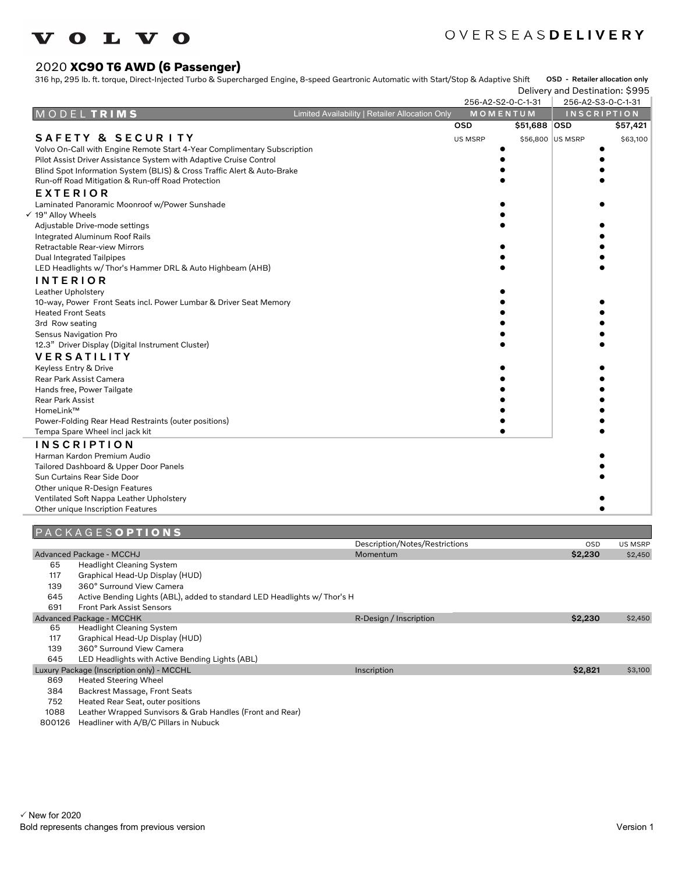# **VOLVO**

# OVERSEASDELIVERY

## 2020 **XC90 T6 AWD (6 Passenger)**

316 hp, 295 lb. ft. torque, Direct-Injected Turbo & Supercharged Engine, 8-speed Geartronic Automatic with Start/Stop & Adaptive Shift OSD - Retailer allocation only

|                                                                          |                                                 |                |                    | Delivery and Destination: \$995 |                    |          |
|--------------------------------------------------------------------------|-------------------------------------------------|----------------|--------------------|---------------------------------|--------------------|----------|
|                                                                          |                                                 |                | 256-A2-S2-0-C-1-31 | 256-A2-S3-0-C-1-31              |                    |          |
| MODELTRIMS                                                               | Limited Availability   Retailer Allocation Only |                | MOMENTUM           |                                 | <b>INSCRIPTION</b> |          |
|                                                                          |                                                 | <b>OSD</b>     | \$51,688 OSD       |                                 |                    | \$57,421 |
| SAFETY & SECURITY                                                        |                                                 | <b>US MSRP</b> |                    | \$56,800 US MSRP                |                    | \$63,100 |
| Volvo On-Call with Engine Remote Start 4-Year Complimentary Subscription |                                                 |                |                    |                                 |                    |          |
| Pilot Assist Driver Assistance System with Adaptive Cruise Control       |                                                 |                |                    |                                 |                    |          |
| Blind Spot Information System (BLIS) & Cross Traffic Alert & Auto-Brake  |                                                 |                |                    |                                 |                    |          |
| Run-off Road Mitigation & Run-off Road Protection                        |                                                 |                |                    |                                 |                    |          |
| <b>EXTERIOR</b>                                                          |                                                 |                |                    |                                 |                    |          |
| Laminated Panoramic Moonroof w/Power Sunshade                            |                                                 |                |                    |                                 |                    |          |
| √ 19" Alloy Wheels                                                       |                                                 |                |                    |                                 |                    |          |
| Adjustable Drive-mode settings                                           |                                                 |                |                    |                                 |                    |          |
| Integrated Aluminum Roof Rails                                           |                                                 |                |                    |                                 |                    |          |
| Retractable Rear-view Mirrors                                            |                                                 |                |                    |                                 |                    |          |
| Dual Integrated Tailpipes                                                |                                                 |                |                    |                                 |                    |          |
| LED Headlights w/ Thor's Hammer DRL & Auto Highbeam (AHB)                |                                                 |                |                    |                                 |                    |          |
| <b>INTERIOR</b>                                                          |                                                 |                |                    |                                 |                    |          |
| Leather Upholstery                                                       |                                                 |                |                    |                                 |                    |          |
| 10-way, Power Front Seats incl. Power Lumbar & Driver Seat Memory        |                                                 |                |                    |                                 |                    |          |
| <b>Heated Front Seats</b>                                                |                                                 |                |                    |                                 |                    |          |
| 3rd Row seating                                                          |                                                 |                |                    |                                 |                    |          |
| Sensus Navigation Pro                                                    |                                                 |                |                    |                                 |                    |          |
| 12.3" Driver Display (Digital Instrument Cluster)                        |                                                 |                |                    |                                 |                    |          |
| <b>VERSATILITY</b>                                                       |                                                 |                |                    |                                 |                    |          |
| Keyless Entry & Drive                                                    |                                                 |                |                    |                                 |                    |          |
| Rear Park Assist Camera                                                  |                                                 |                |                    |                                 |                    |          |
| Hands free, Power Tailgate                                               |                                                 |                |                    |                                 |                    |          |
| Rear Park Assist                                                         |                                                 |                |                    |                                 |                    |          |
| HomeLink™                                                                |                                                 |                |                    |                                 |                    |          |
| Power-Folding Rear Head Restraints (outer positions)                     |                                                 |                |                    |                                 |                    |          |
| Tempa Spare Wheel incl jack kit                                          |                                                 |                |                    |                                 |                    |          |
| <b>INSCRIPTION</b>                                                       |                                                 |                |                    |                                 |                    |          |
| Harman Kardon Premium Audio                                              |                                                 |                |                    |                                 |                    |          |
| Tailored Dashboard & Upper Door Panels                                   |                                                 |                |                    |                                 |                    |          |
| Sun Curtains Rear Side Door                                              |                                                 |                |                    |                                 |                    |          |
| Other unique R-Design Features                                           |                                                 |                |                    |                                 |                    |          |
| Ventilated Soft Nappa Leather Upholstery                                 |                                                 |                |                    |                                 |                    |          |
| Other unique Inscription Features                                        |                                                 |                |                    |                                 |                    |          |

## P A C K A G E S **O P T I O N S**

|     | . <del>.</del>                                                            |                                |            |                |
|-----|---------------------------------------------------------------------------|--------------------------------|------------|----------------|
|     |                                                                           | Description/Notes/Restrictions | <b>OSD</b> | <b>US MSRP</b> |
|     | Advanced Package - MCCHJ                                                  | Momentum                       | \$2,230    | \$2,450        |
| 65  | <b>Headlight Cleaning System</b>                                          |                                |            |                |
| 117 | Graphical Head-Up Display (HUD)                                           |                                |            |                |
| 139 | 360° Surround View Camera                                                 |                                |            |                |
| 645 | Active Bending Lights (ABL), added to standard LED Headlights w/ Thor's H |                                |            |                |
| 691 | <b>Front Park Assist Sensors</b>                                          |                                |            |                |
|     | Advanced Package - MCCHK                                                  | R-Design / Inscription         | \$2,230    | \$2,450        |
| 65  | <b>Headlight Cleaning System</b>                                          |                                |            |                |
| 117 | Graphical Head-Up Display (HUD)                                           |                                |            |                |
| 139 | 360° Surround View Camera                                                 |                                |            |                |
| 645 | LED Headlights with Active Bending Lights (ABL)                           |                                |            |                |
|     | Luxury Package (Inscription only) - MCCHL                                 | Inscription                    | \$2,821    | \$3,100        |
| 869 | <b>Heated Steering Wheel</b>                                              |                                |            |                |
| 384 | Backrest Massage, Front Seats                                             |                                |            |                |
|     |                                                                           |                                |            |                |

752 Heated Rear Seat, outer positions

1088 Leather Wrapped Sunvisors & Grab Handles (Front and Rear)

800126 Headliner with A/B/C Pillars in Nubuck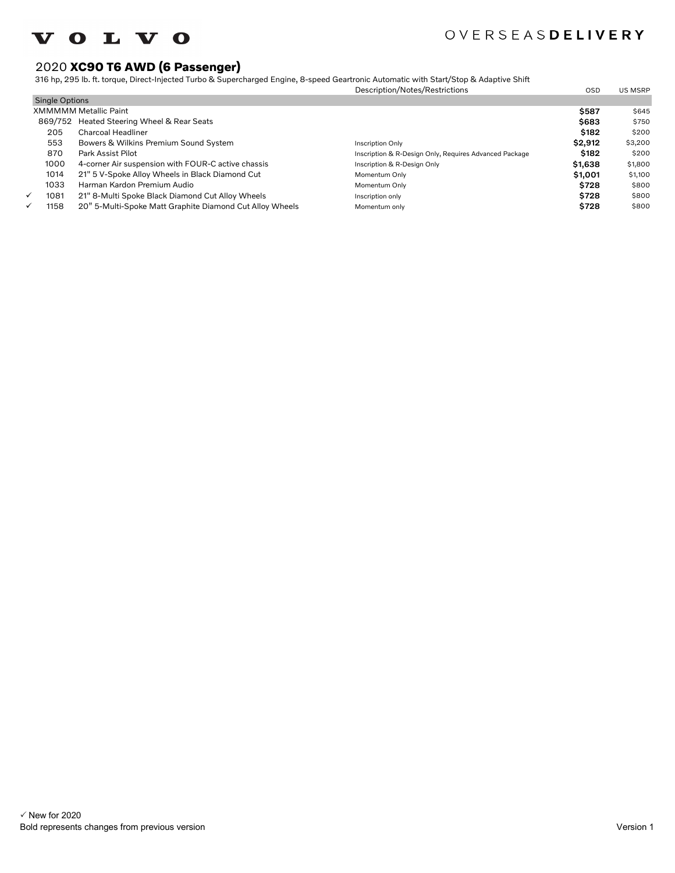

## 2020 **XC90 T6 AWD (6 Passenger)**

316 hp, 295 lb. ft. torque, Direct-Injected Turbo & Supercharged Engine, 8-speed Geartronic Automatic with Start/Stop & Adaptive Shift

|                       |                                                          | Description/Notes/Restrictions                         | <b>OSD</b>  | US MSRP |
|-----------------------|----------------------------------------------------------|--------------------------------------------------------|-------------|---------|
| <b>Single Options</b> |                                                          |                                                        |             |         |
|                       | <b>XMMMMM Metallic Paint</b>                             |                                                        | \$587       | \$645   |
|                       | 869/752 Heated Steering Wheel & Rear Seats               |                                                        | \$683       | \$750   |
| 205                   | Charcoal Headliner                                       |                                                        | \$182       | \$200   |
| 553                   | Bowers & Wilkins Premium Sound System                    | Inscription Only                                       | \$2,912     | \$3,200 |
| 870                   | Park Assist Pilot                                        | Inscription & R-Design Only, Requires Advanced Package | \$182       | \$200   |
| 1000                  | 4-corner Air suspension with FOUR-C active chassis       | Inscription & R-Design Only                            | \$1,638     | \$1,800 |
| 1014                  | 21" 5 V-Spoke Alloy Wheels in Black Diamond Cut          | Momentum Only                                          | \$1,001     | \$1,100 |
| 1033                  | Harman Kardon Premium Audio                              | Momentum Only                                          | <b>S728</b> | \$800   |
| ✓<br>1081             | 21" 8-Multi Spoke Black Diamond Cut Alloy Wheels         | Inscription only                                       | \$728       | \$800   |
| 1158<br>✓             | 20" 5-Multi-Spoke Matt Graphite Diamond Cut Alloy Wheels | Momentum only                                          | \$728       | \$800   |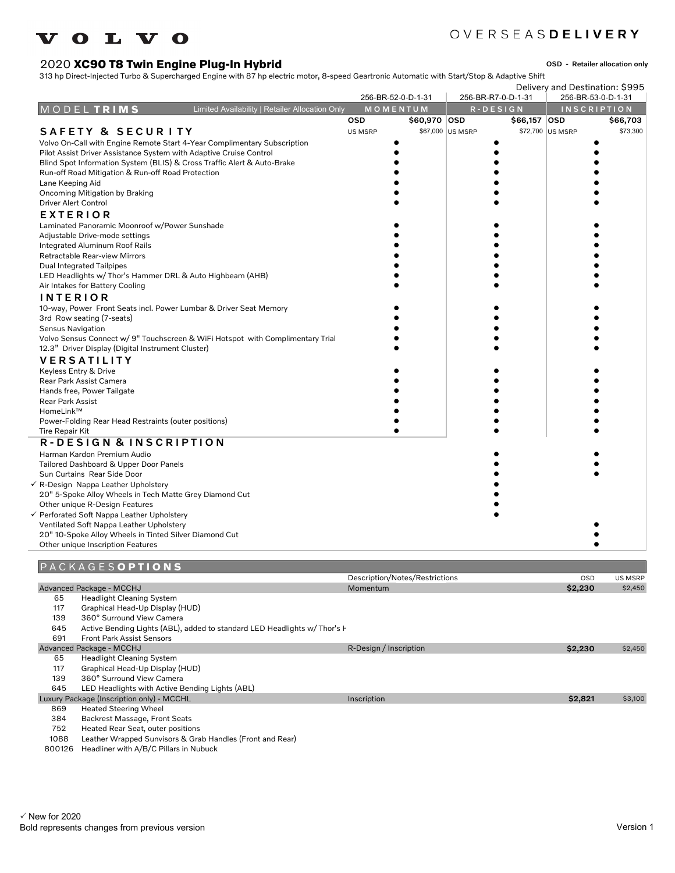# **VOLVO**

# OVERSEASDELIVERY

## 2020 **XC90 T8 Twin Engine Plug-In Hybrid**

OSD - Retailer allocation only

313 hp Direct-Injected Turbo & Supercharged Engine with 87 hp electric motor, 8-speed Geartronic Automatic with Start/Stop & Adaptive Shift

|                                                                                |                | 256-BR-52-0-D-1-31             |                  | 256-BR-R7-0-D-1-31 | Delivery and Destination: \$995<br>256-BR-53-0-D-1-31 |                |
|--------------------------------------------------------------------------------|----------------|--------------------------------|------------------|--------------------|-------------------------------------------------------|----------------|
| Limited Availability   Retailer Allocation Only<br>MODELTRIMS                  |                | MOMENTUM                       |                  | $R - D E S I G N$  | <b>INSCRIPTION</b>                                    |                |
|                                                                                | <b>OSD</b>     | \$60,970 OSD                   |                  | \$66,157 OSD       |                                                       | \$66,703       |
| <b>SAFETY &amp; SECURITY</b>                                                   | <b>US MSRP</b> |                                | \$67,000 US MSRP |                    | \$72,700 US MSRP                                      | \$73,300       |
| Volvo On-Call with Engine Remote Start 4-Year Complimentary Subscription       |                |                                |                  |                    |                                                       |                |
| Pilot Assist Driver Assistance System with Adaptive Cruise Control             |                |                                |                  |                    |                                                       |                |
| Blind Spot Information System (BLIS) & Cross Traffic Alert & Auto-Brake        |                |                                |                  |                    |                                                       |                |
| Run-off Road Mitigation & Run-off Road Protection                              |                |                                |                  |                    |                                                       |                |
| Lane Keeping Aid                                                               |                |                                |                  |                    |                                                       |                |
| Oncoming Mitigation by Braking                                                 |                |                                |                  |                    |                                                       |                |
| <b>Driver Alert Control</b>                                                    |                |                                |                  |                    |                                                       |                |
| <b>EXTERIOR</b>                                                                |                |                                |                  |                    |                                                       |                |
| Laminated Panoramic Moonroof w/Power Sunshade                                  |                |                                |                  |                    |                                                       |                |
| Adjustable Drive-mode settings                                                 |                |                                |                  |                    |                                                       |                |
| Integrated Aluminum Roof Rails                                                 |                |                                |                  |                    |                                                       |                |
| Retractable Rear-view Mirrors                                                  |                |                                |                  |                    |                                                       |                |
| <b>Dual Integrated Tailpipes</b>                                               |                |                                |                  |                    |                                                       |                |
| LED Headlights w/ Thor's Hammer DRL & Auto Highbeam (AHB)                      |                |                                |                  |                    |                                                       |                |
| Air Intakes for Battery Cooling                                                |                |                                |                  |                    |                                                       |                |
| <b>INTERIOR</b>                                                                |                |                                |                  |                    |                                                       |                |
| 10-way, Power Front Seats incl. Power Lumbar & Driver Seat Memory              |                |                                |                  |                    |                                                       |                |
| 3rd Row seating (7-seats)                                                      |                |                                |                  |                    |                                                       |                |
| <b>Sensus Navigation</b>                                                       |                |                                |                  |                    |                                                       |                |
| Volvo Sensus Connect w/ 9" Touchscreen & WiFi Hotspot with Complimentary Trial |                |                                |                  |                    |                                                       |                |
| 12.3" Driver Display (Digital Instrument Cluster)                              |                |                                |                  |                    |                                                       |                |
| <b>VERSATILITY</b>                                                             |                |                                |                  |                    |                                                       |                |
| Keyless Entry & Drive                                                          |                |                                |                  |                    |                                                       |                |
| Rear Park Assist Camera                                                        |                |                                |                  |                    |                                                       |                |
| Hands free, Power Tailgate                                                     |                |                                |                  |                    |                                                       |                |
| <b>Rear Park Assist</b>                                                        |                |                                |                  |                    |                                                       |                |
| HomeLink™                                                                      |                |                                |                  |                    |                                                       |                |
| Power-Folding Rear Head Restraints (outer positions)                           |                |                                |                  |                    |                                                       |                |
| Tire Repair Kit                                                                |                |                                |                  |                    |                                                       |                |
| R-DESIGN & INSCRIPTION                                                         |                |                                |                  |                    |                                                       |                |
| Harman Kardon Premium Audio                                                    |                |                                |                  |                    |                                                       |                |
| Tailored Dashboard & Upper Door Panels                                         |                |                                |                  |                    |                                                       |                |
| Sun Curtains Rear Side Door                                                    |                |                                |                  |                    |                                                       |                |
| √ R-Design Nappa Leather Upholstery                                            |                |                                |                  |                    |                                                       |                |
| 20" 5-Spoke Alloy Wheels in Tech Matte Grey Diamond Cut                        |                |                                |                  |                    |                                                       |                |
| Other unique R-Design Features                                                 |                |                                |                  |                    |                                                       |                |
| √ Perforated Soft Nappa Leather Upholstery                                     |                |                                |                  |                    |                                                       |                |
| Ventilated Soft Nappa Leather Upholstery                                       |                |                                |                  |                    |                                                       |                |
| 20" 10-Spoke Alloy Wheels in Tinted Silver Diamond Cut                         |                |                                |                  |                    |                                                       |                |
| Other unique Inscription Features                                              |                |                                |                  |                    |                                                       |                |
|                                                                                |                |                                |                  |                    |                                                       |                |
| PACKAGESOPTIONS                                                                |                |                                |                  |                    |                                                       |                |
|                                                                                |                | Description/Notes/Restrictions |                  |                    | OSD                                                   | <b>US MSRP</b> |

|      | Advanced Package - MCCHJ                                                  | Momentum               | \$2,230 | \$2,450 |
|------|---------------------------------------------------------------------------|------------------------|---------|---------|
| 65   | <b>Headlight Cleaning System</b>                                          |                        |         |         |
| 117  | Graphical Head-Up Display (HUD)                                           |                        |         |         |
| 139  | 360° Surround View Camera                                                 |                        |         |         |
| 645  | Active Bending Lights (ABL), added to standard LED Headlights w/ Thor's F |                        |         |         |
| 691  | <b>Front Park Assist Sensors</b>                                          |                        |         |         |
|      | Advanced Package - MCCHJ                                                  | R-Design / Inscription | \$2,230 | \$2,450 |
| 65   | <b>Headlight Cleaning System</b>                                          |                        |         |         |
| 117  | Graphical Head-Up Display (HUD)                                           |                        |         |         |
| 139  | 360° Surround View Camera                                                 |                        |         |         |
| 645  | LED Headlights with Active Bending Lights (ABL)                           |                        |         |         |
|      | Luxury Package (Inscription only) - MCCHL                                 | Inscription            | \$2,821 | \$3,100 |
| 869  | <b>Heated Steering Wheel</b>                                              |                        |         |         |
| 384  | Backrest Massage, Front Seats                                             |                        |         |         |
| 752  | Heated Rear Seat, outer positions                                         |                        |         |         |
| 1088 | Leather Wrapped Sunvisors & Grab Handles (Front and Rear)                 |                        |         |         |

800126 Headliner with A/B/C Pillars in Nubuck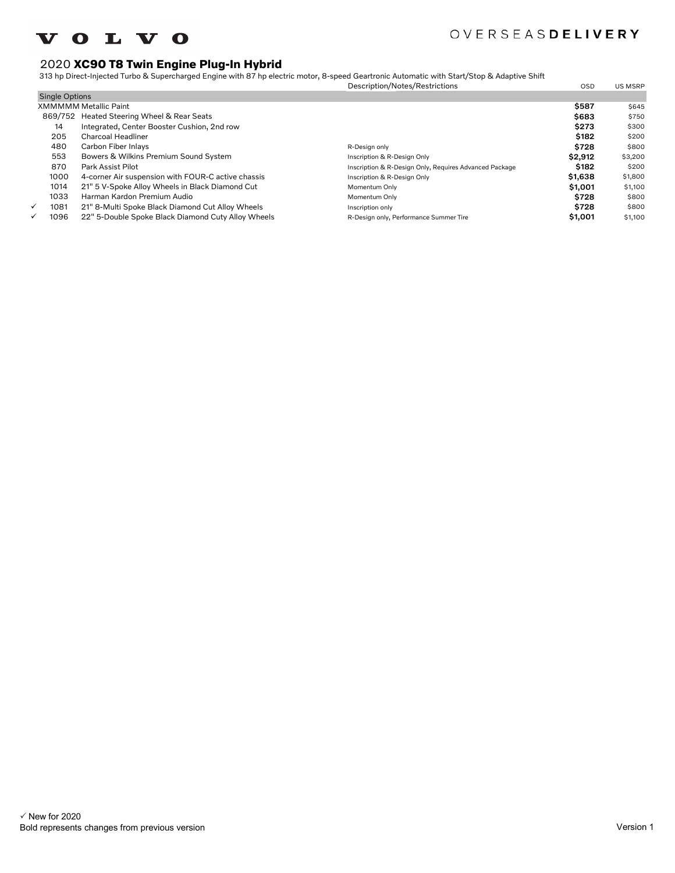

## 2020 **XC90 T8 Twin Engine Plug-In Hybrid**

313 hp Direct-Injected Turbo & Supercharged Engine with 87 hp electric motor, 8-speed Geartronic Automatic with Start/Stop & Adaptive Shift

|                       |                                                    | Description/Notes/Restrictions                         | <b>OSD</b> | <b>US MSRP</b> |
|-----------------------|----------------------------------------------------|--------------------------------------------------------|------------|----------------|
| <b>Single Options</b> |                                                    |                                                        |            |                |
|                       | <b>XMMMMM Metallic Paint</b>                       |                                                        | \$587      | \$645          |
|                       | 869/752 Heated Steering Wheel & Rear Seats         |                                                        | \$683      | \$750          |
| 14                    | Integrated, Center Booster Cushion, 2nd row        |                                                        | \$273      | \$300          |
| 205                   | Charcoal Headliner                                 |                                                        | \$182      | \$200          |
| 480                   | Carbon Fiber Inlays                                | R-Design only                                          | \$728      | \$800          |
| 553                   | Bowers & Wilkins Premium Sound System              | Inscription & R-Design Only                            | \$2,912    | \$3,200        |
| 870                   | Park Assist Pilot                                  | Inscription & R-Design Only, Requires Advanced Package | \$182      | \$200          |
| 1000                  | 4-corner Air suspension with FOUR-C active chassis | Inscription & R-Design Only                            | \$1,638    | \$1,800        |
| 1014                  | 21" 5 V-Spoke Alloy Wheels in Black Diamond Cut    | Momentum Only                                          | \$1,001    | \$1,100        |
| 1033                  | Harman Kardon Premium Audio                        | Momentum Only                                          | \$728      | \$800          |
| 1081<br>✓             | 21" 8-Multi Spoke Black Diamond Cut Alloy Wheels   | Inscription only                                       | \$728      | \$800          |
| 1096<br>✓             | 22" 5-Double Spoke Black Diamond Cuty Alloy Wheels | R-Design only, Performance Summer Tire                 | \$1,001    | \$1,100        |